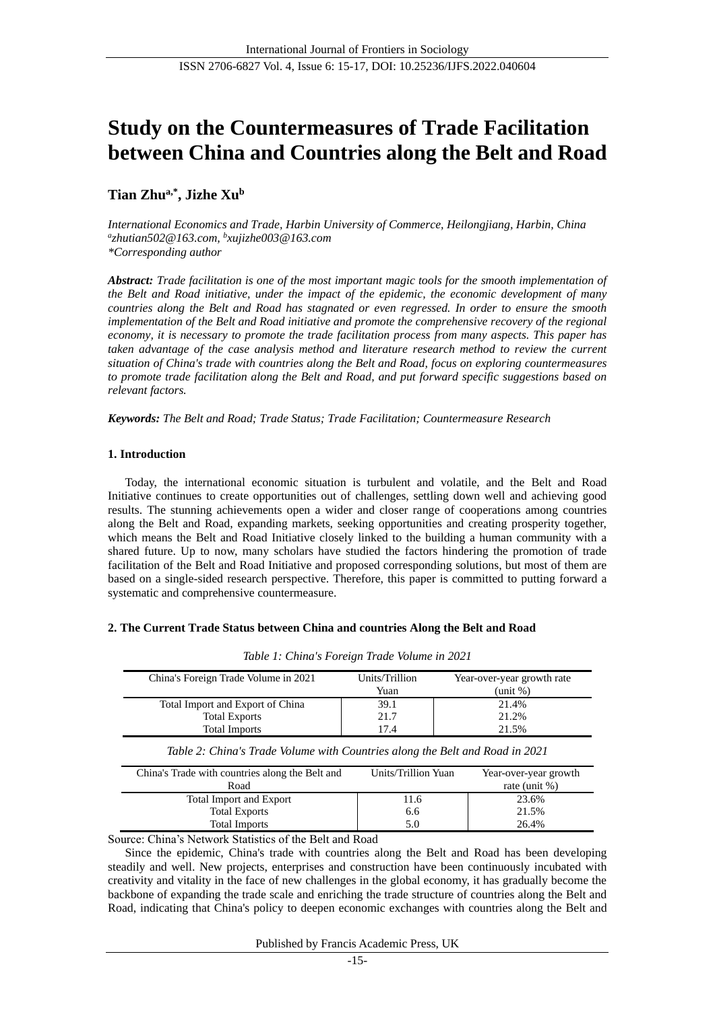# **Study on the Countermeasures of Trade Facilitation between China and Countries along the Belt and Road**

# **Tian Zhua,\* , Jizhe Xu<sup>b</sup>**

*International Economics and Trade, Harbin University of Commerce, Heilongjiang, Harbin, China a zhutian502@163.com, b xujizhe003@163.com \*Corresponding author*

*Abstract: Trade facilitation is one of the most important magic tools for the smooth implementation of the Belt and Road initiative, under the impact of the epidemic, the economic development of many countries along the Belt and Road has stagnated or even regressed. In order to ensure the smooth implementation of the Belt and Road initiative and promote the comprehensive recovery of the regional economy, it is necessary to promote the trade facilitation process from many aspects. This paper has taken advantage of the case analysis method and literature research method to review the current situation of China's trade with countries along the Belt and Road, focus on exploring countermeasures to promote trade facilitation along the Belt and Road, and put forward specific suggestions based on relevant factors.*

*Keywords: The Belt and Road; Trade Status; Trade Facilitation; Countermeasure Research*

# **1. Introduction**

Today, the international economic situation is turbulent and volatile, and the Belt and Road Initiative continues to create opportunities out of challenges, settling down well and achieving good results. The stunning achievements open a wider and closer range of cooperations among countries along the Belt and Road, expanding markets, seeking opportunities and creating prosperity together, which means the Belt and Road Initiative closely linked to the building a human community with a shared future. Up to now, many scholars have studied the factors hindering the promotion of trade facilitation of the Belt and Road Initiative and proposed corresponding solutions, but most of them are based on a single-sided research perspective. Therefore, this paper is committed to putting forward a systematic and comprehensive countermeasure.

# **2. The Current Trade Status between China and countries Along the Belt and Road**

| China's Foreign Trade Volume in 2021                                             | Units/Trillion<br>Yuan | Year-over-year growth rate<br>unit %)  |  |  |  |  |  |
|----------------------------------------------------------------------------------|------------------------|----------------------------------------|--|--|--|--|--|
| Total Import and Export of China<br><b>Total Exports</b><br><b>Total Imports</b> | 39.1<br>21.7<br>17.4   | 21.4%<br>21.2%<br>21.5%                |  |  |  |  |  |
| Table 2: China's Trade Volume with Countries along the Belt and Road in 2021     |                        |                                        |  |  |  |  |  |
|                                                                                  |                        |                                        |  |  |  |  |  |
| China's Trade with countries along the Belt and<br>Road                          | Units/Trillion Yuan    | Year-over-year growth<br>rate (unit %) |  |  |  |  |  |
| <b>Total Import and Export</b>                                                   | 11.6                   | 23.6%                                  |  |  |  |  |  |
| <b>Total Exports</b>                                                             | 6.6                    | 21.5%                                  |  |  |  |  |  |

|  |  | Table 1: China's Foreign Trade Volume in 2021 |  |  |  |  |
|--|--|-----------------------------------------------|--|--|--|--|
|--|--|-----------------------------------------------|--|--|--|--|

Source: China's Network Statistics of the Belt and Road

Since the epidemic, China's trade with countries along the Belt and Road has been developing steadily and well. New projects, enterprises and construction have been continuously incubated with creativity and vitality in the face of new challenges in the global economy, it has gradually become the backbone of expanding the trade scale and enriching the trade structure of countries along the Belt and Road, indicating that China's policy to deepen economic exchanges with countries along the Belt and

Published by Francis Academic Press, UK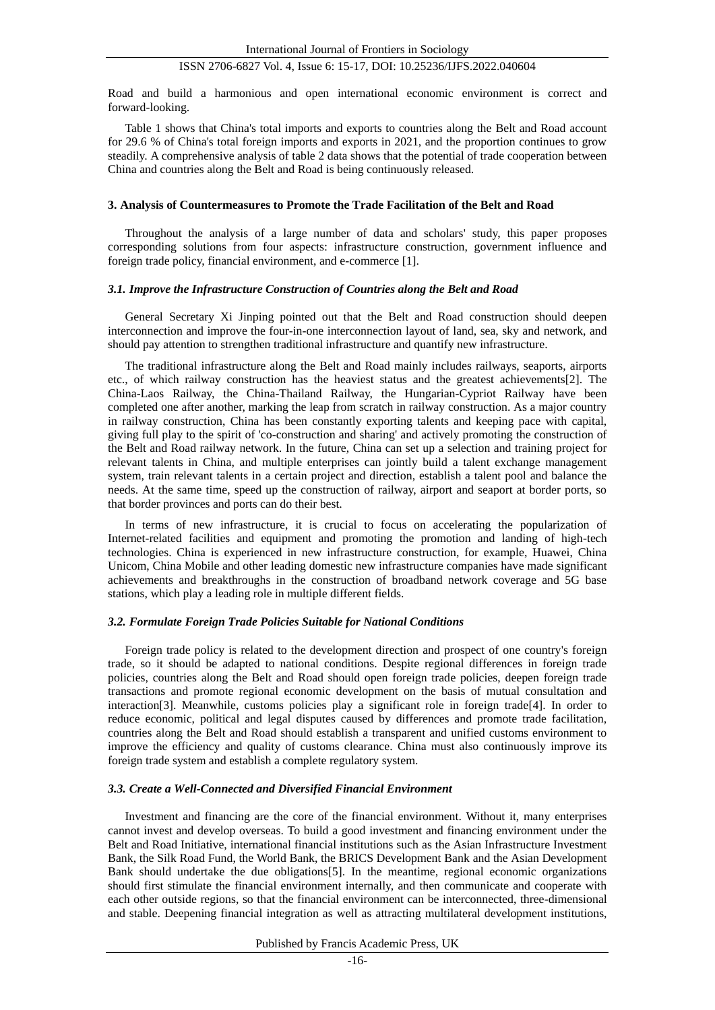# ISSN 2706-6827 Vol. 4, Issue 6: 15-17, DOI: 10.25236/IJFS.2022.040604

Road and build a harmonious and open international economic environment is correct and forward-looking.

Table 1 shows that China's total imports and exports to countries along the Belt and Road account for 29.6 % of China's total foreign imports and exports in 2021, and the proportion continues to grow steadily. A comprehensive analysis of table 2 data shows that the potential of trade cooperation between China and countries along the Belt and Road is being continuously released.

#### **3. Analysis of Countermeasures to Promote the Trade Facilitation of the Belt and Road**

Throughout the analysis of a large number of data and scholars' study, this paper proposes corresponding solutions from four aspects: infrastructure construction, government influence and foreign trade policy, financial environment, and e-commerce [1].

#### *3.1. Improve the Infrastructure Construction of Countries along the Belt and Road*

General Secretary Xi Jinping pointed out that the Belt and Road construction should deepen interconnection and improve the four-in-one interconnection layout of land, sea, sky and network, and should pay attention to strengthen traditional infrastructure and quantify new infrastructure.

The traditional infrastructure along the Belt and Road mainly includes railways, seaports, airports etc., of which railway construction has the heaviest status and the greatest achievements[2]. The China-Laos Railway, the China-Thailand Railway, the Hungarian-Cypriot Railway have been completed one after another, marking the leap from scratch in railway construction. As a major country in railway construction, China has been constantly exporting talents and keeping pace with capital, giving full play to the spirit of 'co-construction and sharing' and actively promoting the construction of the Belt and Road railway network. In the future, China can set up a selection and training project for relevant talents in China, and multiple enterprises can jointly build a talent exchange management system, train relevant talents in a certain project and direction, establish a talent pool and balance the needs. At the same time, speed up the construction of railway, airport and seaport at border ports, so that border provinces and ports can do their best.

In terms of new infrastructure, it is crucial to focus on accelerating the popularization of Internet-related facilities and equipment and promoting the promotion and landing of high-tech technologies. China is experienced in new infrastructure construction, for example, Huawei, China Unicom, China Mobile and other leading domestic new infrastructure companies have made significant achievements and breakthroughs in the construction of broadband network coverage and 5G base stations, which play a leading role in multiple different fields.

#### *3.2. Formulate Foreign Trade Policies Suitable for National Conditions*

Foreign trade policy is related to the development direction and prospect of one country's foreign trade, so it should be adapted to national conditions. Despite regional differences in foreign trade policies, countries along the Belt and Road should open foreign trade policies, deepen foreign trade transactions and promote regional economic development on the basis of mutual consultation and interaction[3]. Meanwhile, customs policies play a significant role in foreign trade[4]. In order to reduce economic, political and legal disputes caused by differences and promote trade facilitation, countries along the Belt and Road should establish a transparent and unified customs environment to improve the efficiency and quality of customs clearance. China must also continuously improve its foreign trade system and establish a complete regulatory system.

#### *3.3. Create a Well-Connected and Diversified Financial Environment*

Investment and financing are the core of the financial environment. Without it, many enterprises cannot invest and develop overseas. To build a good investment and financing environment under the Belt and Road Initiative, international financial institutions such as the Asian Infrastructure Investment Bank, the Silk Road Fund, the World Bank, the BRICS Development Bank and the Asian Development Bank should undertake the due obligations[5]. In the meantime, regional economic organizations should first stimulate the financial environment internally, and then communicate and cooperate with each other outside regions, so that the financial environment can be interconnected, three-dimensional and stable. Deepening financial integration as well as attracting multilateral development institutions,